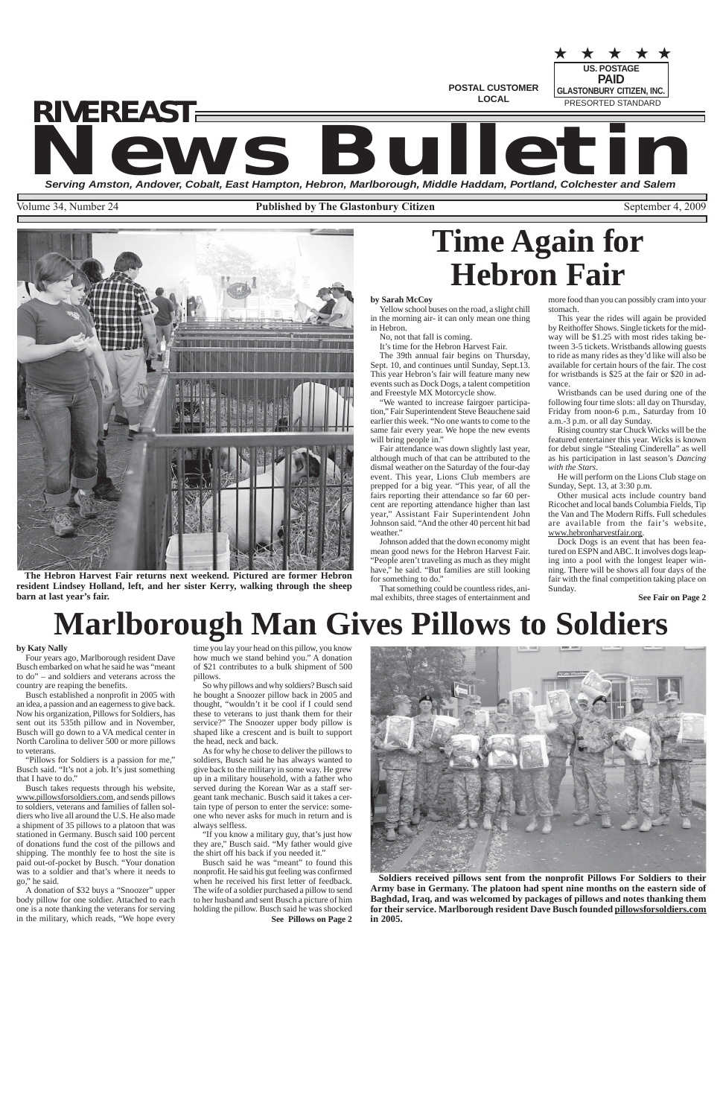**US. POSTAGE**

PRESORTED STANDARD

★ ★ ★ ★ ★

**POSTAL CUSTOMER LOCAL**

**Serving Amston, Andover, Cobalt, East Hampton, Hebron, Marlborough, Middle Haddam, Portland, Colchester and Salem**

Volume 34, Number 24 **Published by The Glastonbury Citizen** September 4, 2009

**PAID GLASTONBURY CITIZEN, INC.**

**News Bulletin** *RIVEREAST*

**See Pillows on Page 2**

**See Fair on Page 2**

# **Time Again for Hebron Fair**

# **Marlborough Man Gives Pillows to Soldiers**



**The Hebron Harvest Fair returns next weekend. Pictured are former Hebron resident Lindsey Holland, left, and her sister Kerry, walking through the sheep barn at last year's fair.**

'We wanted to increase fairgoer participation," Fair Superintendent Steve Beauchene said earlier this week. "No one wants to come to the same fair every year. We hope the new events will bring people in."

Fair attendance was down slightly last year, although much of that can be attributed to the dismal weather on the Saturday of the four-day event. This year, Lions Club members are prepped for a big year. "This year, of all the fairs reporting their attendance so far 60 percent are reporting attendance higher than last year," Assistant Fair Superintendent John Johnson said. "And the other 40 percent hit bad weather.'

**Soldiers received pillows sent from the nonprofit Pillows For Soldiers to their Army base in Germany. The platoon had spent nine months on the eastern side of Baghdad, Iraq, and was welcomed by packages of pillows and notes thanking them for their service. Marlborough resident Dave Busch founded pillowsforsoldiers.com in 2005.**

### **by Sarah McCoy**

Yellow school buses on the road, a slight chill in the morning air- it can only mean one thing in Hebron.

No, not that fall is coming.

It's time for the Hebron Harvest Fair.

The 39th annual fair begins on Thursday, Sept. 10, and continues until Sunday, Sept.13. This year Hebron's fair will feature many new events such as Dock Dogs, a talent competition and Freestyle MX Motorcycle show.

Johnson added that the down economy might mean good news for the Hebron Harvest Fair. "People aren't traveling as much as they might have," he said. "But families are still looking for something to do."

That something could be countless rides, animal exhibits, three stages of entertainment and more food than you can possibly cram into your stomach.

This year the rides will again be provided by Reithoffer Shows. Single tickets for the midway will be \$1.25 with most rides taking between 3-5 tickets. Wristbands allowing guests to ride as many rides as they'd like will also be available for certain hours of the fair. The cost for wristbands is \$25 at the fair or \$20 in advance.

Wristbands can be used during one of the following four time slots: all day on Thursday, Friday from noon-6 p.m., Saturday from 10 a.m.-3 p.m. or all day Sunday.

"If you know a military guy, that's just how they are," Busch said. "My father would give the shirt off his back if you needed it."

Rising country star Chuck Wicks will be the featured entertainer this year. Wicks is known for debut single "Stealing Cinderella" as well as his participation in last season's *Dancing with the Stars*.

He will perform on the Lions Club stage on Sunday, Sept. 13, at 3:30 p.m.

Other musical acts include country band Ricochet and local bands Columbia Fields, Tip the Van and The Modern Riffs. Full schedules are available from the fair's website, www.hebronharvestfair.org.

Dock Dogs is an event that has been featured on ESPN and ABC. It involves dogs leaping into a pool with the longest leaper winning. There will be shows all four days of the fair with the final competition taking place on Sunday.

#### **by Katy Nally**

Four years ago, Marlborough resident Dave Busch embarked on what he said he was "meant to do" – and soldiers and veterans across the country are reaping the benefits.

Busch established a nonprofit in 2005 with an idea, a passion and an eagerness to give back. Now his organization, Pillows for Soldiers, has sent out its 535th pillow and in November, Busch will go down to a VA medical center in North Carolina to deliver 500 or more pillows to veterans.

"Pillows for Soldiers is a passion for me," Busch said. "It's not a job. It's just something that I have to do."

Busch takes requests through his website, www.pillowsforsoldiers.com, and sends pillows to soldiers, veterans and families of fallen soldiers who live all around the U.S. He also made a shipment of 35 pillows to a platoon that was stationed in Germany. Busch said 100 percent of donations fund the cost of the pillows and shipping. The monthly fee to host the site is paid out-of-pocket by Busch. "Your donation was to a soldier and that's where it needs to go," he said.

A donation of \$32 buys a "Snoozer" upper body pillow for one soldier. Attached to each one is a note thanking the veterans for serving in the military, which reads, "We hope every

time you lay your head on this pillow, you know how much we stand behind you." A donation of \$21 contributes to a bulk shipment of 500 pillows.

So why pillows and why soldiers? Busch said he bought a Snoozer pillow back in 2005 and thought, "wouldn't it be cool if I could send these to veterans to just thank them for their service?" The Snoozer upper body pillow is shaped like a crescent and is built to support the head, neck and back.

As for why he chose to deliver the pillows to soldiers, Busch said he has always wanted to give back to the military in some way. He grew up in a military household, with a father who served during the Korean War as a staff sergeant tank mechanic. Busch said it takes a certain type of person to enter the service: someone who never asks for much in return and is



always selfless.

Busch said he was "meant" to found this nonprofit. He said his gut feeling was confirmed when he received his first letter of feedback. The wife of a soldier purchased a pillow to send to her husband and sent Busch a picture of him holding the pillow. Busch said he was shocked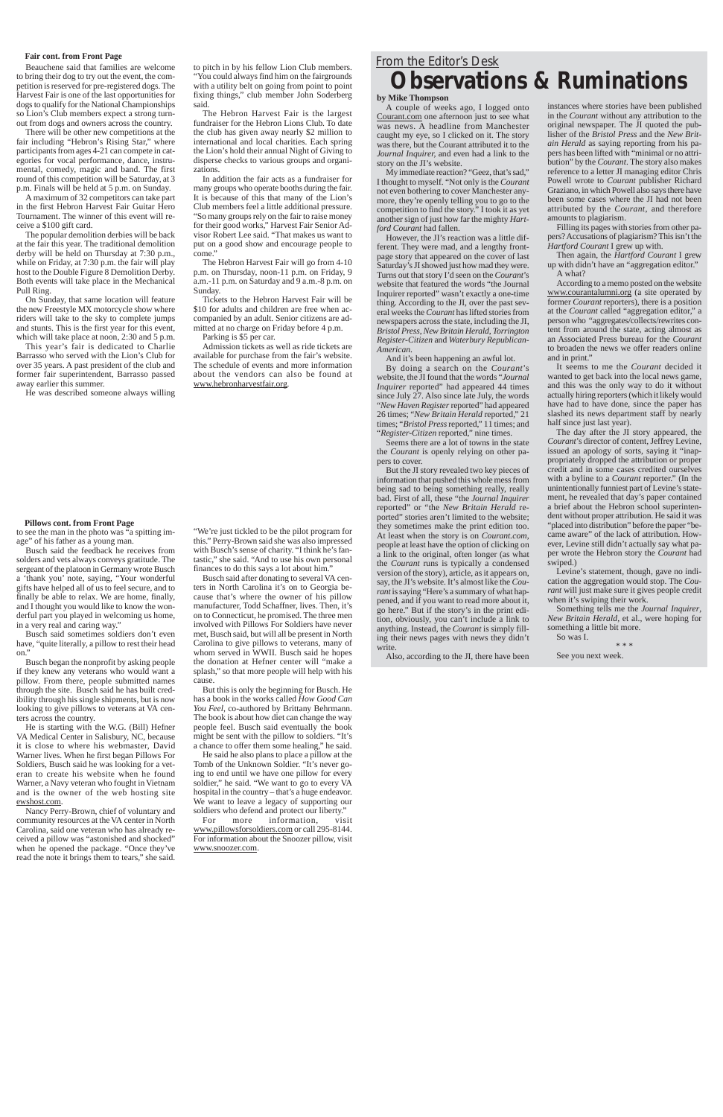#### **Fair cont. from Front Page**

#### **Pillows cont. from Front Page**

Beauchene said that families are welcome to bring their dog to try out the event, the competition is reserved for pre-registered dogs. The Harvest Fair is one of the last opportunities for dogs to qualify for the National Championships so Lion's Club members expect a strong turnout from dogs and owners across the country.

There will be other new competitions at the fair including "Hebron's Rising Star," where participants from ages 4-21 can compete in categories for vocal performance, dance, instrumental, comedy, magic and band. The first round of this competition will be Saturday, at 3 p.m. Finals will be held at 5 p.m. on Sunday.

A maximum of 32 competitors can take part in the first Hebron Harvest Fair Guitar Hero Tournament. The winner of this event will receive a \$100 gift card.

The popular demolition derbies will be back at the fair this year. The traditional demolition derby will be held on Thursday at 7:30 p.m., while on Friday, at 7:30 p.m. the fair will play host to the Double Figure 8 Demolition Derby. Both events will take place in the Mechanical Pull Ring.

In addition the fair acts as a fundraiser for many groups who operate booths during the fair. It is because of this that many of the Lion's Club members feel a little additional pressure. "So many groups rely on the fair to raise money for their good works," Harvest Fair Senior Advisor Robert Lee said. "That makes us want to put on a good show and encourage people to come.'

On Sunday, that same location will feature the new Freestyle MX motorcycle show where riders will take to the sky to complete jumps and stunts. This is the first year for this event, which will take place at noon, 2:30 and 5 p.m.

This year's fair is dedicated to Charlie Barrasso who served with the Lion's Club for over 35 years. A past president of the club and former fair superintendent, Barrasso passed away earlier this summer.

He was described someone always willing

to pitch in by his fellow Lion Club members. "You could always find him on the fairgrounds with a utility belt on going from point to point fixing things," club member John Soderberg said.

Busch said sometimes soldiers don't even have, "quite literally, a pillow to rest their head on.'

The Hebron Harvest Fair is the largest fundraiser for the Hebron Lions Club. To date the club has given away nearly \$2 million to international and local charities. Each spring the Lion's hold their annual Night of Giving to disperse checks to various groups and organizations.

"We're just tickled to be the pilot program for this." Perry-Brown said she was also impressed with Busch's sense of charity. "I think he's fantastic," she said. "And to use his own personal finances to do this says a lot about him."

The Hebron Harvest Fair will go from 4-10 p.m. on Thursday, noon-11 p.m. on Friday, 9 a.m.-11 p.m. on Saturday and 9 a.m.-8 p.m. on Sunday.

Tickets to the Hebron Harvest Fair will be \$10 for adults and children are free when accompanied by an adult. Senior citizens are admitted at no charge on Friday before 4 p.m. Parking is \$5 per car.

Admission tickets as well as ride tickets are available for purchase from the fair's website. The schedule of events and more information about the vendors can also be found at www.hebronharvestfair.org.

For more information www.pillowsforsoldiers.com or call 295-8144. For information about the Snoozer pillow, visit www.snoozer.com.

to see the man in the photo was "a spitting image" of his father as a young man.

Busch said the feedback he receives from solders and vets always conveys gratitude. The sergeant of the platoon in Germany wrote Busch a 'thank you' note, saying, "Your wonderful gifts have helped all of us to feel secure, and to finally be able to relax. We are home, finally, and I thought you would like to know the wonderful part you played in welcoming us home, in a very real and caring way."

Busch began the nonprofit by asking people if they knew any veterans who would want a pillow. From there, people submitted names through the site. Busch said he has built credibility through his single shipments, but is now looking to give pillows to veterans at VA centers across the country.

He is starting with the W.G. (Bill) Hefner VA Medical Center in Salisbury, NC, because it is close to where his webmaster, David Warner lives. When he first began Pillows For Soldiers, Busch said he was looking for a veteran to create his website when he found Warner, a Navy veteran who fought in Vietnam and is the owner of the web hosting site ewshost.com.

Nancy Perry-Brown, chief of voluntary and community resources at the VA center in North Carolina, said one veteran who has already received a pillow was "astonished and shocked" when he opened the package. "Once they've read the note it brings them to tears," she said.

Busch said after donating to several VA centers in North Carolina it's on to Georgia because that's where the owner of his pillow manufacturer, Todd Schaffner, lives. Then, it's on to Connecticut, he promised. The three men involved with Pillows For Soldiers have never met, Busch said, but will all be present in North Carolina to give pillows to veterans, many of whom served in WWII. Busch said he hopes the donation at Hefner center will "make a splash," so that more people will help with his cause.

But this is only the beginning for Busch. He has a book in the works called *How Good Can You Feel*, co-authored by Brittany Behrmann. The book is about how diet can change the way people feel. Busch said eventually the book might be sent with the pillow to soldiers. "It's a chance to offer them some healing," he said.

He said he also plans to place a pillow at the Tomb of the Unknown Soldier. "It's never going to end until we have one pillow for every soldier," he said. "We want to go to every VA hospital in the country – that's a huge endeavor. We want to leave a legacy of supporting our soldiers who defend and protect our liberty."

## *From the Editor's Desk* **Observations & Ruminations**

#### **by Mike Thompson**

A couple of weeks ago, I logged onto Courant.com one afternoon just to see what was news. A headline from Manchester caught my eye, so I clicked on it. The story was there, but the Courant attributed it to the *Journal Inquirer,* and even had a link to the story on the JI's website.

My immediate reaction? "Geez, that's sad," I thought to myself. "Not only is the *Courant* not even bothering to cover Manchester anymore, they're openly telling you to go to the competition to find the story." I took it as yet another sign of just how far the mighty *Hartford Courant* had fallen.

However, the JI's reaction was a little different. They were mad, and a lengthy frontpage story that appeared on the cover of last Saturday's JI showed just how mad they were. Turns out that story I'd seen on the *Courant*'s website that featured the words "the Journal Inquirer reported" wasn't exactly a one-time thing. According to the JI, over the past several weeks the *Courant* has lifted stories from newspapers across the state, including the JI, *Bristol Press*, *New Britain Herald*, *Torrington Register-Citizen* and *Waterbury Republican-American*.

And it's been happening an awful lot.

By doing a search on the *Courant*'s website, the JI found that the words "*Journal Inquirer* reported" had appeared 44 times since July 27. Also since late July, the words "*New Haven Register* reported" had appeared 26 times; "*New Britain Herald* reported," 21 times; "*Bristol Press* reported," 11 times; and "*Register-Citizen* reported," nine times.

Seems there are a lot of towns in the state the *Courant* is openly relying on other papers to cover.

But the JI story revealed two key pieces of information that pushed this whole mess from being sad to being something really, really bad. First of all, these "the *Journal Inquirer* reported" or "the *New Britain Herald* reported" stories aren't limited to the website; they sometimes make the print edition too. At least when the story is on *Courant.com*, people at least have the option of clicking on a link to the original, often longer (as what the *Courant* runs is typically a condensed version of the story), article, as it appears on, say, the JI's website. It's almost like the *Courant* is saying "Here's a summary of what happened, and if you want to read more about it, go here." But if the story's in the print edition, obviously, you can't include a link to anything. Instead, the *Courant* is simply filling their news pages with news they didn't write.

Also, according to the JI, there have been

instances where stories have been published in the *Courant* without any attribution to the original newspaper. The JI quoted the publisher of the *Bristol Press* and the *New Britain Herald* as saying reporting from his papers has been lifted with "minimal or no attribution" by the *Courant*. The story also makes reference to a letter JI managing editor Chris Powell wrote to *Courant* publisher Richard Graziano, in which Powell also says there have been some cases where the JI had not been attributed by the *Courant*, and therefore amounts to plagiarism.

Filling its pages with stories from other papers? Accusations of plagiarism? This isn't the *Hartford Courant* I grew up with.

Then again, the *Hartford Courant* I grew up with didn't have an "aggregation editor." A what?

According to a memo posted on the website www.courantalumni.org (a site operated by former *Courant* reporters), there is a position at the *Courant* called "aggregation editor," a person who "aggregates/collects/rewrites content from around the state, acting almost as an Associated Press bureau for the *Courant* to broaden the news we offer readers online and in print."

It seems to me the *Courant* decided it wanted to get back into the local news game, and this was the only way to do it without actually hiring reporters (which it likely would have had to have done, since the paper has slashed its news department staff by nearly half since just last year).

The day after the JI story appeared, the *Courant*'s director of content, Jeffrey Levine, issued an apology of sorts, saying it "inappropriately dropped the attribution or proper credit and in some cases credited ourselves with a byline to a *Courant* reporter." (In the unintentionally funniest part of Levine's statement, he revealed that day's paper contained a brief about the Hebron school superintendent without proper attribution. He said it was "placed into distribution" before the paper "became aware" of the lack of attribution. However, Levine still didn't actually say what paper wrote the Hebron story the *Courant* had swiped.)

Levine's statement, though, gave no indication the aggregation would stop. The *Courant* will just make sure it gives people credit when it's swiping their work.

Something tells me the *Journal Inquirer*, *New Britain Herald*, et al., were hoping for something a little bit more.

So was I. \* \* \*

See you next week.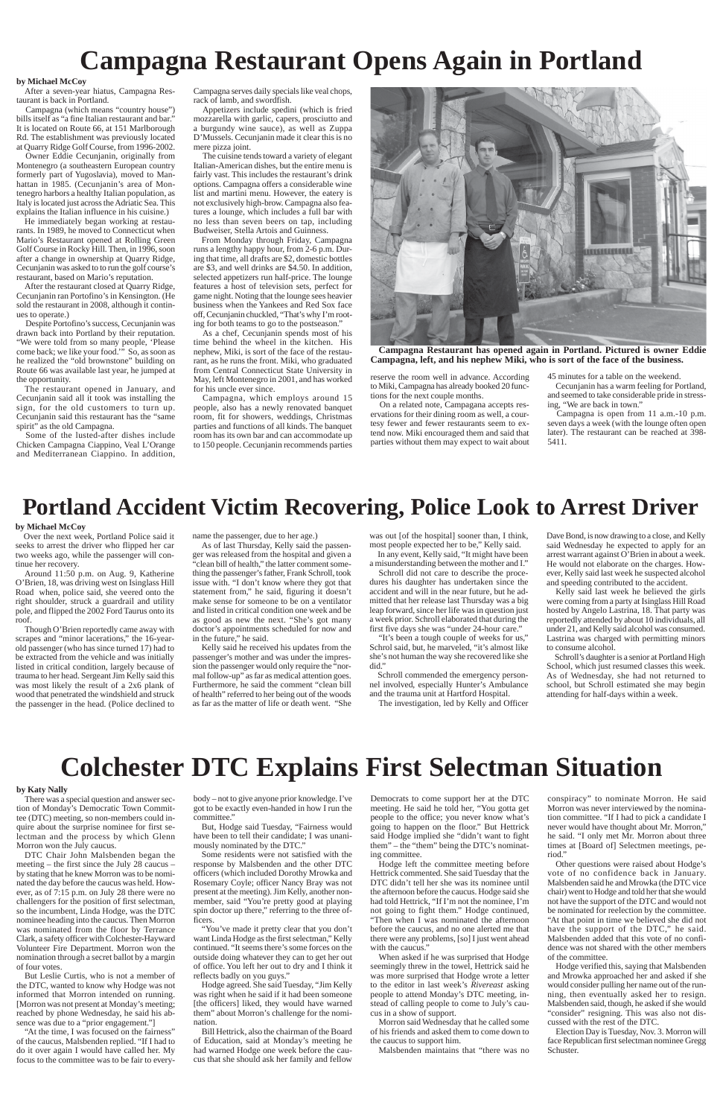# **Campagna Restaurant Opens Again in Portland**

## **Portland Accident Victim Recovering, Police Look to Arrest Driver**

#### **by Michael McCoy**

After a seven-year hiatus, Campagna Restaurant is back in Portland.

Campagna (which means "country house") bills itself as "a fine Italian restaurant and bar." It is located on Route 66, at 151 Marlborough Rd. The establishment was previously located at Quarry Ridge Golf Course, from 1996-2002.

Owner Eddie Cecunjanin, originally from Montenegro (a southeastern European country formerly part of Yugoslavia), moved to Manhattan in 1985. (Cecunjanin's area of Montenegro harbors a healthy Italian population, as Italy is located just across the Adriatic Sea. This explains the Italian influence in his cuisine.)

He immediately began working at restaurants. In 1989, he moved to Connecticut when Mario's Restaurant opened at Rolling Green Golf Course in Rocky Hill. Then, in 1996, soon after a change in ownership at Quarry Ridge, Cecunjanin was asked to to run the golf course's restaurant, based on Mario's reputation.

After the restaurant closed at Quarry Ridge, Cecunjanin ran Portofino's in Kensington. (He sold the restaurant in 2008, although it continues to operate.)

Despite Portofino's success, Cecunjanin was drawn back into Portland by their reputation. "We were told from so many people, 'Please come back; we like your food.'" So, as soon as he realized the "old brownstone" building on Route 66 was available last year, he jumped at the opportunity.

The restaurant opened in January, and Cecunjanin said all it took was installing the sign, for the old customers to turn up. Cecunjanin said this restaurant has the "same spirit" as the old Campagna.

Some of the lusted-after dishes include Chicken Campagna Ciappino, Veal L'Orange and Mediterranean Ciappino. In addition, Campagna serves daily specials like veal chops, rack of lamb, and swordfish.

Appetizers include spedini (which is fried mozzarella with garlic, capers, prosciutto and a burgundy wine sauce), as well as Zuppa D'Mussels. Cecunjanin made it clear this is no mere pizza joint.

The cuisine tends toward a variety of elegant Italian-American dishes, but the entire menu is fairly vast. This includes the restaurant's drink options. Campagna offers a considerable wine list and martini menu. However, the eatery is not exclusively high-brow. Campagna also features a lounge, which includes a full bar with no less than seven beers on tap, including Budweiser, Stella Artois and Guinness.

From Monday through Friday, Campagna runs a lengthy happy hour, from 2-6 p.m. During that time, all drafts are \$2, domestic bottles are \$3, and well drinks are \$4.50. In addition, selected appetizers run half-price. The lounge features a host of television sets, perfect for game night. Noting that the lounge sees heavier business when the Yankees and Red Sox face off, Cecunjanin chuckled, "That's why I'm rooting for both teams to go to the postseason."

As a chef, Cecunjanin spends most of his time behind the wheel in the kitchen. His nephew, Miki, is sort of the face of the restaurant, as he runs the front. Miki, who graduated from Central Connecticut State University in May, left Montenegro in 2001, and has worked for his uncle ever since.

Campagna, which employs around 15 people, also has a newly renovated banquet room, fit for showers, weddings, Christmas parties and functions of all kinds. The banquet room has its own bar and can accommodate up to 150 people. Cecunjanin recommends parties

#### **by Michael McCoy**

Over the next week, Portland Police said it seeks to arrest the driver who flipped her car two weeks ago, while the passenger will continue her recovery.

Around 11:50 p.m. on Aug. 9, Katherine O'Brien, 18, was driving west on Isinglass Hill Road when, police said, she veered onto the right shoulder, struck a guardrail and utility pole, and flipped the 2002 Ford Taurus onto its roof.

Though O'Brien reportedly came away with scrapes and "minor lacerations," the 16-yearold passenger (who has since turned 17) had to be extracted from the vehicle and was initially listed in critical condition, largely because of trauma to her head. Sergeant Jim Kelly said this was most likely the result of a 2x6 plank of wood that penetrated the windshield and struck the passenger in the head. (Police declined to name the passenger, due to her age.)

As of last Thursday, Kelly said the passenger was released from the hospital and given a "clean bill of health," the latter comment something the passenger's father, Frank Schroll, took issue with. "I don't know where they got that statement from," he said, figuring it doesn't make sense for someone to be on a ventilator and listed in critical condition one week and be as good as new the next. "She's got many doctor's appointments scheduled for now and

in the future," he said. Kelly said he received his updates from the passenger's mother and was under the impression the passenger would only require the "normal follow-up" as far as medical attention goes. Furthermore, he said the comment "clean bill of health" referred to her being out of the woods as far as the matter of life or death went. "She

# **Colchester DTC Explains First Selectman Situation**

#### **by Katy Nally**

There was a special question and answer section of Monday's Democratic Town Committee (DTC) meeting, so non-members could in-

quire about the surprise nominee for first selectman and the process by which Glenn Morron won the July caucus.

DTC Chair John Malsbenden began the meeting – the first since the July 28 caucus – by stating that he knew Morron was to be nominated the day before the caucus was held. However, as of 7:15 p.m. on July 28 there were no challengers for the position of first selectman, so the incumbent, Linda Hodge, was the DTC nominee heading into the caucus. Then Morron was nominated from the floor by Terrance Clark, a safety officer with Colchester-Hayward Volunteer Fire Department. Morron won the nomination through a secret ballot by a margin of four votes.

But Leslie Curtis, who is not a member of the DTC, wanted to know why Hodge was not informed that Morron intended on running. [Morron was not present at Monday's meeting; reached by phone Wednesday, he said his absence was due to a "prior engagement."]

"At the time, I was focused on the fairness" of the caucus, Malsbenden replied. "If I had to do it over again I would have called her. My focus to the committee was to be fair to everybody – not to give anyone prior knowledge. I've got to be exactly even-handed in how I run the committee."

But, Hodge said Tuesday, "Fairness would have been to tell their candidate; I was unanimously nominated by the DTC."

Some residents were not satisfied with the response by Malsbenden and the other DTC officers (which included Dorothy Mrowka and Rosemary Coyle; officer Nancy Bray was not present at the meeting). Jim Kelly, another nonmember, said "You're pretty good at playing spin doctor up there," referring to the three officers.

"You've made it pretty clear that you don't want Linda Hodge as the first selectman," Kelly continued. "It seems there's some forces on the outside doing whatever they can to get her out of office. You left her out to dry and I think it reflects badly on you guys."

Hodge agreed. She said Tuesday, "Jim Kelly was right when he said if it had been someone [the officers] liked, they would have warned them" about Morron's challenge for the nomination.

Bill Hettrick, also the chairman of the Board of Education, said at Monday's meeting he had warned Hodge one week before the caucus that she should ask her family and fellow

Democrats to come support her at the DTC meeting. He said he told her, "You gotta get people to the office; you never know what's

going to happen on the floor." But Hettrick said Hodge implied she "didn't want to fight them" – the "them" being the DTC's nominating committee.

Hodge left the committee meeting before Hettrick commented. She said Tuesday that the DTC didn't tell her she was its nominee until the afternoon before the caucus. Hodge said she had told Hettrick, "If I'm not the nominee, I'm not going to fight them." Hodge continued, "Then when I was nominated the afternoon before the caucus, and no one alerted me that there were any problems, [so] I just went ahead with the caucus."

When asked if he was surprised that Hodge seemingly threw in the towel, Hettrick said he was more surprised that Hodge wrote a letter to the editor in last week's *Rivereast* asking people to attend Monday's DTC meeting, instead of calling people to come to July's caucus in a show of support.

Morron said Wednesday that he called some of his friends and asked them to come down to the caucus to support him.

Malsbenden maintains that "there was no

conspiracy" to nominate Morron. He said Morron was never interviewed by the nomination committee. "If I had to pick a candidate I

never would have thought about Mr. Morron," he said. "I only met Mr. Morron about three times at [Board of] Selectmen meetings, period."

Other questions were raised about Hodge's vote of no confidence back in January. Malsbenden said he and Mrowka (the DTC vice chair) went to Hodge and told her that she would not have the support of the DTC and would not be nominated for reelection by the committee. "At that point in time we believed she did not have the support of the DTC," he said. Malsbenden added that this vote of no confidence was not shared with the other members of the committee.

Hodge verified this, saying that Malsbenden and Mrowka approached her and asked if she would consider pulling her name out of the running, then eventually asked her to resign. Malsbenden said, though, he asked if she would "consider" resigning. This was also not discussed with the rest of the DTC.

Election Day is Tuesday, Nov. 3. Morron will face Republican first selectman nominee Gregg Schuster.

was out [of the hospital] sooner than, I think, most people expected her to be," Kelly said. In any event, Kelly said, "It might have been

a misunderstanding between the mother and I." Schroll did not care to describe the proce-

dures his daughter has undertaken since the accident and will in the near future, but he admitted that her release last Thursday was a big leap forward, since her life was in question just a week prior. Schroll elaborated that during the first five days she was "under 24-hour care."

"It's been a tough couple of weeks for us," Schrol said, but, he marveled, "it's almost like she's not human the way she recovered like she did."

Schroll commended the emergency personnel involved, especially Hunter's Ambulance and the trauma unit at Hartford Hospital.

The investigation, led by Kelly and Officer

Dave Bond, is now drawing to a close, and Kelly said Wednesday he expected to apply for an arrest warrant against O'Brien in about a week. He would not elaborate on the charges. However, Kelly said last week he suspected alcohol and speeding contributed to the accident.

Kelly said last week he believed the girls were coming from a party at Isinglass Hill Road hosted by Angelo Lastrina, 18. That party was reportedly attended by about 10 individuals, all under 21, and Kelly said alcohol was consumed. Lastrina was charged with permitting minors to consume alcohol.

Schroll's daughter is a senior at Portland High School, which just resumed classes this week. As of Wednesday, she had not returned to school, but Schroll estimated she may begin attending for half-days within a week.

reserve the room well in advance. According to Miki, Campagna has already booked 20 functions for the next couple months.

On a related note, Campagana accepts reservations for their dining room as well, a courtesy fewer and fewer restaurants seem to extend now. Miki encouraged them and said that parties without them may expect to wait about 45 minutes for a table on the weekend.

Cecunjanin has a warm feeling for Portland, and seemed to take considerable pride in stressing, "We are back in town."

Campagna is open from 11 a.m.-10 p.m. seven days a week (with the lounge often open later). The restaurant can be reached at 398- 5411.



**Campagna Restaurant has opened again in Portland. Pictured is owner Eddie Campagna, left, and his nephew Miki, who is sort of the face of the business.**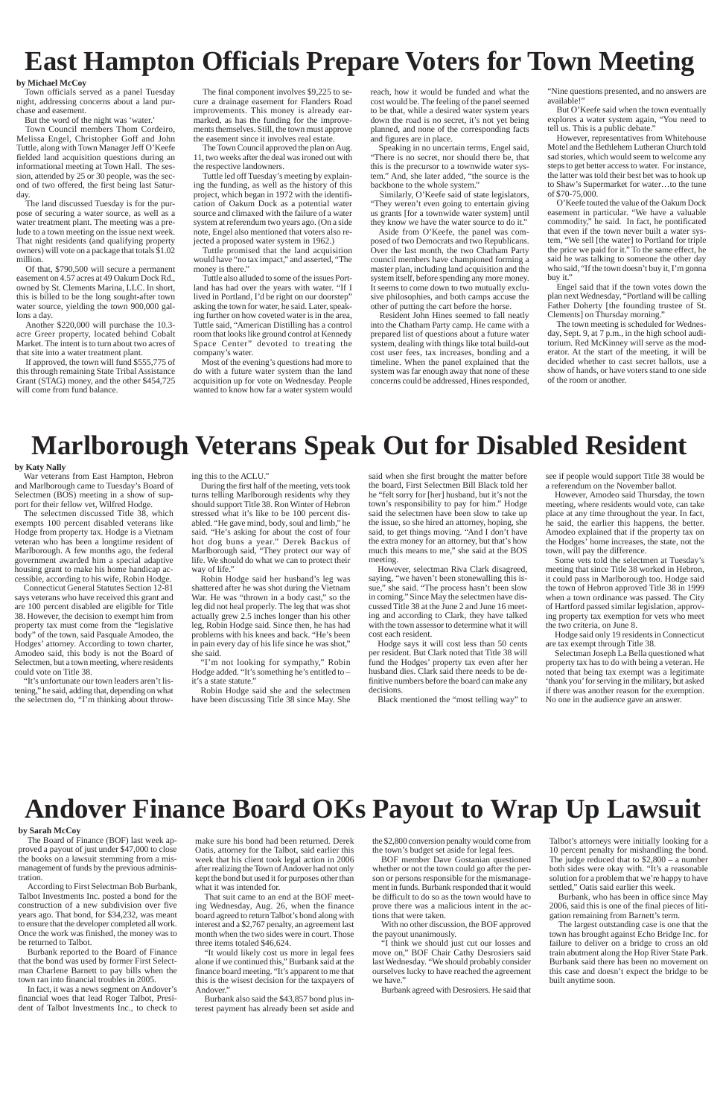# **East Hampton Officials Prepare Voters for Town Meeting**

#### **by Michael McCoy**

Town officials served as a panel Tuesday night, addressing concerns about a land purchase and easement.

But the word of the night was 'water.'

Town Council members Thom Cordeiro, Melissa Engel, Christopher Goff and John Tuttle, along with Town Manager Jeff O'Keefe fielded land acquisition questions during an informational meeting at Town Hall. The session, attended by 25 or 30 people, was the second of two offered, the first being last Satur-

day. The land discussed Tuesday is for the purpose of securing a water source, as well as a water treatment plant. The meeting was a prelude to a town meeting on the issue next week. That night residents (and qualifying property owners) will vote on a package that totals \$1.02 million.

Of that, \$790,500 will secure a permanent easement on 4.57 acres at 49 Oakum Dock Rd., owned by St. Clements Marina, LLC. In short, this is billed to be the long sought-after town water source, yielding the town 900,000 gallons a day.

Tuttle promised that the land acquisition would have "no tax impact," and asserted, "The money is there.

Another \$220,000 will purchase the 10.3 acre Greer property, located behind Cobalt Market. The intent is to turn about two acres of that site into a water treatment plant.

If approved, the town will fund \$555,775 of this through remaining State Tribal Assistance Grant (STAG) money, and the other \$454,725 will come from fund balance.

The final component involves \$9,225 to secure a drainage easement for Flanders Road improvements. This money is already earmarked, as has the funding for the improvements themselves. Still, the town must approve the easement since it involves real estate.

The Town Council approved the plan on Aug. 11, two weeks after the deal was ironed out with the respective landowners.

Tuttle led off Tuesday's meeting by explaining the funding, as well as the history of this project, which began in 1972 with the identification of Oakum Dock as a potential water source and climaxed with the failure of a water system at referendum two years ago. (On a side note, Engel also mentioned that voters also rejected a proposed water system in 1962.)

Tuttle also alluded to some of the issues Portland has had over the years with water. "If I lived in Portland, I'd be right on our doorstep" asking the town for water, he said. Later, speaking further on how coveted water is in the area, Tuttle said, "American Distilling has a control room that looks like ground control at Kennedy Space Center" devoted to treating the company's water.

Most of the evening's questions had more to do with a future water system than the land acquisition up for vote on Wednesday. People wanted to know how far a water system would

reach, how it would be funded and what the cost would be. The feeling of the panel seemed to be that, while a desired water system years down the road is no secret, it's not yet being planned, and none of the corresponding facts and figures are in place.

Speaking in no uncertain terms, Engel said, "There is no secret, nor should there be, that this is the precursor to a townwide water system." And, she later added, "the source is the backbone to the whole system."

Similarly, O'Keefe said of state legislators, "They weren't even going to entertain giving us grants [for a townwide water system] until they know we have the water source to do it."

Aside from O'Keefe, the panel was composed of two Democrats and two Republicans. Over the last month, the two Chatham Party council members have championed forming a master plan, including land acquisition and the system itself, before spending any more money. It seems to come down to two mutually exclusive philosophies, and both camps accuse the other of putting the cart before the horse.

Resident John Hines seemed to fall neatly into the Chatham Party camp. He came with a prepared list of questions about a future water system, dealing with things like total build-out cost user fees, tax increases, bonding and a timeline. When the panel explained that the system was far enough away that none of these concerns could be addressed, Hines responded,

"Nine questions presented, and no answers are available!"

But O'Keefe said when the town eventually explores a water system again, "You need to tell us. This is a public debate."

However, representatives from Whitehouse Motel and the Bethlehem Lutheran Church told sad stories, which would seem to welcome any steps to get better access to water. For instance, the latter was told their best bet was to hook up to Shaw's Supermarket for water…to the tune of \$70-75,000.

O'Keefe touted the value of the Oakum Dock easement in particular. "We have a valuable commodity," he said. In fact, he pontificated that even if the town never built a water system, "We sell [the water] to Portland for triple the price we paid for it." To the same effect, he said he was talking to someone the other day who said, "If the town doesn't buy it, I'm gonna buy it."

Engel said that if the town votes down the plan next Wednesday, "Portland will be calling Father Doherty [the founding trustee of St. Clements] on Thursday morning."

The town meeting is scheduled for Wednesday, Sept. 9, at 7 p.m., in the high school auditorium. Red McKinney will serve as the moderator. At the start of the meeting, it will be decided whether to cast secret ballots, use a show of hands, or have voters stand to one side of the room or another.

# **Marlborough Veterans Speak Out for Disabled Resident**

#### **by Katy Nally**

War veterans from East Hampton, Hebron and Marlborough came to Tuesday's Board of Selectmen (BOS) meeting in a show of support for their fellow vet, Wilfred Hodge.

The selectmen discussed Title 38, which exempts 100 percent disabled veterans like Hodge from property tax. Hodge is a Vietnam veteran who has been a longtime resident of Marlborough. A few months ago, the federal government awarded him a special adaptive housing grant to make his home handicap accessible, according to his wife, Robin Hodge.

Connecticut General Statutes Section 12-81 says veterans who have received this grant and are 100 percent disabled are eligible for Title 38. However, the decision to exempt him from property tax must come from the "legislative body" of the town, said Pasquale Amodeo, the Hodges' attorney. According to town charter, Amodeo said, this body is not the Board of Selectmen, but a town meeting, where residents could vote on Title 38.

"It's unfortunate our town leaders aren't listening," he said, adding that, depending on what the selectmen do, "I'm thinking about throwing this to the ACLU."

During the first half of the meeting, vets took turns telling Marlborough residents why they should support Title 38. Ron Winter of Hebron stressed what it's like to be 100 percent disabled. "He gave mind, body, soul and limb," he said. "He's asking for about the cost of four hot dog buns a year." Derek Backus of Marlborough said, "They protect our way of life. We should do what we can to protect their way of life."

Robin Hodge said her husband's leg was shattered after he was shot during the Vietnam War. He was "thrown in a body cast," so the leg did not heal properly. The leg that was shot actually grew 2.5 inches longer than his other leg, Robin Hodge said. Since then, he has had problems with his knees and back. "He's been in pain every day of his life since he was shot," she said.

"I'm not looking for sympathy," Robin Hodge added. "It's something he's entitled to – it's a state statute."

Robin Hodge said she and the selectmen have been discussing Title 38 since May. She

said when she first brought the matter before the board, First Selectmen Bill Black told her he "felt sorry for [her] husband, but it's not the town's responsibility to pay for him." Hodge said the selectmen have been slow to take up the issue, so she hired an attorney, hoping, she said, to get things moving. "And I don't have the extra money for an attorney, but that's how much this means to me," she said at the BOS meeting.

However, selectman Riva Clark disagreed, saying, "we haven't been stonewalling this issue," she said. "The process hasn't been slow in coming." Since May the selectmen have discussed Title 38 at the June 2 and June 16 meeting and according to Clark, they have talked with the town assessor to determine what it will cost each resident.

Hodge says it will cost less than 50 cents per resident. But Clark noted that Title 38 will fund the Hodges' property tax even after her husband dies. Clark said there needs to be definitive numbers before the board can make any decisions.

Black mentioned the "most telling way" to

see if people would support Title 38 would be a referendum on the November ballot.

However, Amodeo said Thursday, the town meeting, where residents would vote, can take place at any time throughout the year. In fact, he said, the earlier this happens, the better. Amodeo explained that if the property tax on the Hodges' home increases, the state, not the town, will pay the difference.

Some vets told the selectmen at Tuesday's meeting that since Title 38 worked in Hebron, it could pass in Marlborough too. Hodge said the town of Hebron approved Title 38 in 1999 when a town ordinance was passed. The City of Hartford passed similar legislation, approving property tax exemption for vets who meet the two criteria, on June 8.

Hodge said only 19 residents in Connecticut are tax exempt through Title 38.

Selectman Joseph La Bella questioned what property tax has to do with being a veteran. He noted that being tax exempt was a legitimate 'thank you' for serving in the military, but asked if there was another reason for the exemption. No one in the audience gave an answer.

# **Andover Finance Board OKs Payout to Wrap Up Lawsuit**

#### **by Sarah McCoy**

The Board of Finance (BOF) last week approved a payout of just under \$47,000 to close the books on a lawsuit stemming from a mismanagement of funds by the previous administration.

According to First Selectman Bob Burbank, Talbot Investments Inc. posted a bond for the construction of a new subdivision over five years ago. That bond, for \$34,232, was meant to ensure that the developer completed all work. Once the work was finished, the money was to be returned to Talbot.

Burbank reported to the Board of Finance that the bond was used by former First Selectman Charlene Barnett to pay bills when the town ran into financial troubles in 2005.

In fact, it was a news segment on Andover's financial woes that lead Roger Talbot, President of Talbot Investments Inc., to check to make sure his bond had been returned. Derek Oatis, attorney for the Talbot, said earlier this week that his client took legal action in 2006 after realizing the Town of Andover had not only kept the bond but used it for purposes other than what it was intended for.

That suit came to an end at the BOF meeting Wednesday, Aug. 26, when the finance board agreed to return Talbot's bond along with interest and a \$2,767 penalty, an agreement last month when the two sides were in court. Those three items totaled \$46,624.

"It would likely cost us more in legal fees alone if we continued this," Burbank said at the finance board meeting. "It's apparent to me that this is the wisest decision for the taxpayers of Andover."

Burbank also said the \$43,857 bond plus interest payment has already been set aside and the \$2,800 conversion penalty would come from the town's budget set aside for legal fees.

BOF member Dave Gostanian questioned whether or not the town could go after the person or persons responsible for the mismanagement in funds. Burbank responded that it would be difficult to do so as the town would have to prove there was a malicious intent in the actions that were taken.

With no other discussion, the BOF approved the payout unanimously.

"I think we should just cut our losses and move on," BOF Chair Cathy Desrosiers said last Wednesday. "We should probably consider ourselves lucky to have reached the agreement we have."

Burbank agreed with Desrosiers. He said that

Talbot's attorneys were initially looking for a 10 percent penalty for mishandling the bond. The judge reduced that to \$2,800 – a number both sides were okay with. "It's a reasonable solution for a problem that we're happy to have settled," Oatis said earlier this week.

Burbank, who has been in office since May 2006, said this is one of the final pieces of litigation remaining from Barnett's term.

The largest outstanding case is one that the town has brought against Echo Bridge Inc. for failure to deliver on a bridge to cross an old train abutment along the Hop River State Park. Burbank said there has been no movement on this case and doesn't expect the bridge to be built anytime soon.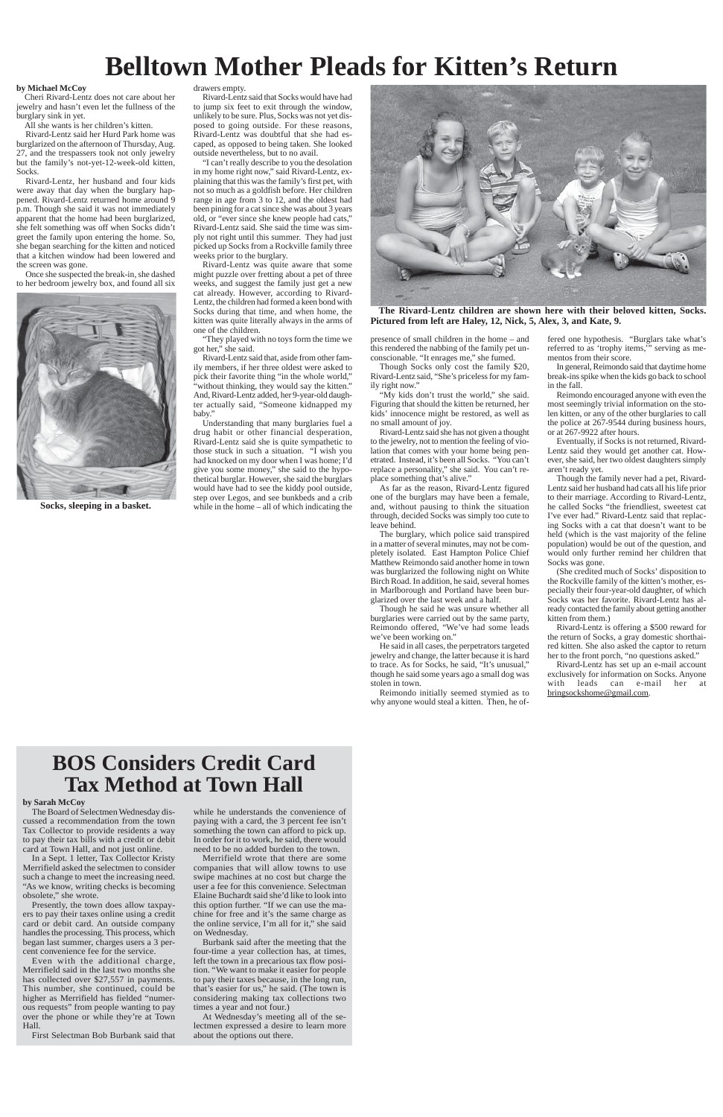# **Belltown Mother Pleads for Kitten's Return**

#### **by Michael McCoy**

Cheri Rivard-Lentz does not care about her jewelry and hasn't even let the fullness of the burglary sink in yet.

All she wants is her children's kitten.

Rivard-Lentz said her Hurd Park home was burglarized on the afternoon of Thursday, Aug. 27, and the trespassers took not only jewelry but the family's not-yet-12-week-old kitten, Socks.

Rivard-Lentz, her husband and four kids were away that day when the burglary happened. Rivard-Lentz returned home around 9 p.m. Though she said it was not immediately apparent that the home had been burglarized, she felt something was off when Socks didn't greet the family upon entering the home. So, she began searching for the kitten and noticed that a kitchen window had been lowered and the screen was gone.

Once she suspected the break-in, she dashed to her bedroom jewelry box, and found all six

#### drawers empty.

Rivard-Lentz said that Socks would have had to jump six feet to exit through the window, unlikely to be sure. Plus, Socks was not yet disposed to going outside. For these reasons, Rivard-Lentz was doubtful that she had escaped, as opposed to being taken. She looked outside nevertheless, but to no avail.

"I can't really describe to you the desolation in my home right now," said Rivard-Lentz, explaining that this was the family's first pet, with not so much as a goldfish before. Her children range in age from 3 to 12, and the oldest had been pining for a cat since she was about 3 years old, or "ever since she knew people had cats," Rivard-Lentz said. She said the time was simply not right until this summer. They had just picked up Socks from a Rockville family three weeks prior to the burglary.

> "My kids don't trust the world," she said. Figuring that should the kitten be returned, her kids' innocence might be restored, as well as no small amount of joy.

Rivard-Lentz was quite aware that some might puzzle over fretting about a pet of three weeks, and suggest the family just get a new cat already. However, according to Rivard-Lentz, the children had formed a keen bond with Socks during that time, and when home, the kitten was quite literally always in the arms of one of the children.

"They played with no toys form the time we got her," she said.

Rivard-Lentz said that, aside from other family members, if her three oldest were asked to pick their favorite thing "in the whole world," 'without thinking, they would say the kitten." And, Rivard-Lentz added, her 9-year-old daughter actually said, "Someone kidnapped my baby."

Understanding that many burglaries fuel a drug habit or other financial desperation, Rivard-Lentz said she is quite sympathetic to those stuck in such a situation. "I wish you had knocked on my door when I was home; I'd give you some money," she said to the hypothetical burglar. However, she said the burglars would have had to see the kiddy pool outside, step over Legos, and see bunkbeds and a crib while in the home – all of which indicating the

presence of small children in the home – and this rendered the nabbing of the family pet unconscionable. "It enrages me," she fumed.

Though Socks only cost the family \$20, Rivard-Lentz said, "She's priceless for my family right now."

Rivard-Lentz said she has not given a thought to the jewelry, not to mention the feeling of violation that comes with your home being penetrated. Instead, it's been all Socks. "You can't replace a personality," she said. You can't replace something that's alive."

As far as the reason, Rivard-Lentz figured one of the burglars may have been a female, and, without pausing to think the situation through, decided Socks was simply too cute to leave behind.

The burglary, which police said transpired in a matter of several minutes, may not be completely isolated. East Hampton Police Chief Matthew Reimondo said another home in town was burglarized the following night on White Birch Road. In addition, he said, several homes in Marlborough and Portland have been burglarized over the last week and a half.

Though he said he was unsure whether all burglaries were carried out by the same party, Reimondo offered, "We've had some leads we've been working on."

He said in all cases, the perpetrators targeted jewelry and change, the latter because it is hard to trace. As for Socks, he said, "It's unusual," though he said some years ago a small dog was stolen in town.

Reimondo initially seemed stymied as to why anyone would steal a kitten. Then, he offered one hypothesis. "Burglars take what's referred to as 'trophy items,'" serving as mementos from their score.

In general, Reimondo said that daytime home break-ins spike when the kids go back to school in the fall.

Reimondo encouraged anyone with even the most seemingly trivial information on the stolen kitten, or any of the other burglaries to call the police at 267-9544 during business hours, or at 267-9922 after hours.

Eventually, if Socks is not returned, Rivard-Lentz said they would get another cat. However, she said, her two oldest daughters simply aren't ready yet.

Though the family never had a pet, Rivard-Lentz said her husband had cats all his life prior to their marriage. According to Rivard-Lentz, he called Socks "the friendliest, sweetest cat I've ever had." Rivard-Lentz said that replacing Socks with a cat that doesn't want to be held (which is the vast majority of the feline population) would be out of the question, and would only further remind her children that Socks was gone.

(She credited much of Socks' disposition to the Rockville family of the kitten's mother, especially their four-year-old daughter, of which Socks was her favorite. Rivard-Lentz has already contacted the family about getting another kitten from them.)

Rivard-Lentz is offering a \$500 reward for the return of Socks, a gray domestic shorthaired kitten. She also asked the captor to return her to the front porch, "no questions asked."

Rivard-Lentz has set up an e-mail account exclusively for information on Socks. Anyone with leads can e-mail her at bringsockshome@gmail.com.



**The Rivard-Lentz children are shown here with their beloved kitten, Socks. Pictured from left are Haley, 12, Nick, 5, Alex, 3, and Kate, 9.**



**Socks, sleeping in a basket.**

## **BOS Considers Credit Card Tax Method at Town Hall**

**by Sarah McCoy**

The Board of Selectmen Wednesday dis-

cussed a recommendation from the town Tax Collector to provide residents a way to pay their tax bills with a credit or debit card at Town Hall, and not just online.

In a Sept. 1 letter, Tax Collector Kristy Merrifield asked the selectmen to consider such a change to meet the increasing need. "As we know, writing checks is becoming obsolete," she wrote.

Presently, the town does allow taxpayers to pay their taxes online using a credit card or debit card. An outside company handles the processing. This process, which began last summer, charges users a 3 percent convenience fee for the service.

Even with the additional charge, Merrifield said in the last two months she has collected over \$27,557 in payments. This number, she continued, could be higher as Merrifield has fielded "numerous requests" from people wanting to pay over the phone or while they're at Town Hall.

First Selectman Bob Burbank said that

while he understands the convenience of

paying with a card, the 3 percent fee isn't something the town can afford to pick up. In order for it to work, he said, there would need to be no added burden to the town.

Merrifield wrote that there are some companies that will allow towns to use swipe machines at no cost but charge the user a fee for this convenience. Selectman Elaine Buchardt said she'd like to look into this option further. "If we can use the machine for free and it's the same charge as the online service, I'm all for it," she said on Wednesday.

Burbank said after the meeting that the four-time a year collection has, at times, left the town in a precarious tax flow position. "We want to make it easier for people to pay their taxes because, in the long run, that's easier for us," he said. (The town is considering making tax collections two times a year and not four.)

At Wednesday's meeting all of the selectmen expressed a desire to learn more about the options out there.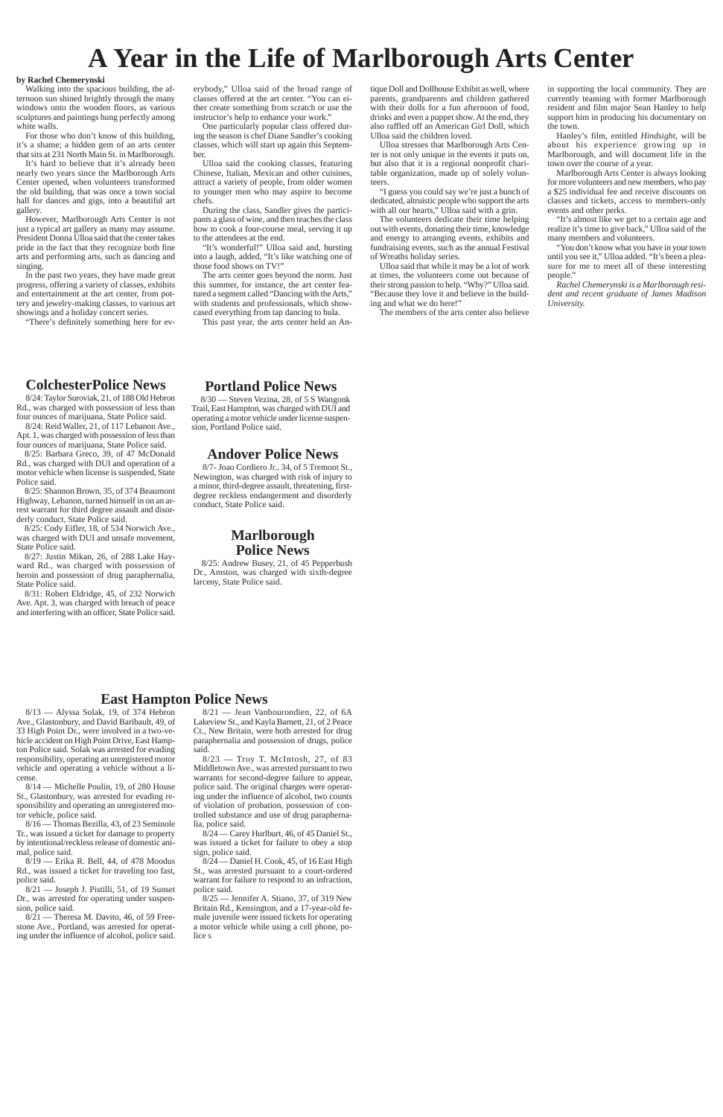# **A Year in the Life of Marlborough Arts Center**

#### **by Rachel Chemerynski**

Walking into the spacious building, the afternoon sun shined brightly through the many windows onto the wooden floors, as various sculptures and paintings hung perfectly among white walls.

For those who don't know of this building, it's a shame; a hidden gem of an arts center that sits at 231 North Main St. in Marlborough.

It's hard to believe that it's already been nearly two years since the Marlborough Arts Center opened, when volunteers transformed the old building, that was once a town social hall for dances and gigs, into a beautiful art gallery.

However, Marlborough Arts Center is not just a typical art gallery as many may assume. President Donna Ulloa said that the center takes pride in the fact that they recognize both fine arts and performing arts, such as dancing and singing.

In the past two years, they have made great progress, offering a variety of classes, exhibits and entertainment at the art center, from pottery and jewelry-making classes, to various art showings and a holiday concert series.

"There's definitely something here for ev-

erybody," Ulloa said of the broad range of classes offered at the art center. "You can either create something from scratch or use the instructor's help to enhance your work."

> "I guess you could say we're just a bunch of dedicated, altruistic people who support the arts with all our hearts," Ulloa said with a grin.

One particularly popular class offered during the season is chef Diane Sandler's cooking classes, which will start up again this September.

Ulloa said the cooking classes, featuring Chinese, Italian, Mexican and other cuisines, attract a variety of people, from older women to younger men who may aspire to become chefs.

During the class, Sandler gives the participants a glass of wine, and then teaches the class how to cook a four-course meal, serving it up to the attendees at the end.

"It's wonderful!" Ulloa said and, bursting into a laugh, added, "It's like watching one of those food shows on TV!"

The arts center goes beyond the norm. Just this summer, for instance, the art center featured a segment called "Dancing with the Arts," with students and professionals, which showcased everything from tap dancing to hula.

This past year, the arts center held an An-

tique Doll and Dollhouse Exhibit as well, where parents, grandparents and children gathered with their dolls for a fun afternoon of food, drinks and even a puppet show. At the end, they also raffled off an American Girl Doll, which Ulloa said the children loved.

Ulloa stresses that Marlborough Arts Center is not only unique in the events it puts on, but also that it is a regional nonprofit charitable organization, made up of solely volunteers.

The volunteers dedicate their time helping out with events, donating their time, knowledge and energy to arranging events, exhibits and fundraising events, such as the annual Festival of Wreaths holiday series.

Ulloa said that while it may be a lot of work at times, the volunteers come out because of their strong passion to help. "Why?" Ulloa said. "Because they love it and believe in the building and what we do here!"

The members of the arts center also believe

in supporting the local community. They are currently teaming with former Marlborough resident and film major Sean Hanley to help support him in producing his documentary on the town.

 $8/21$  — Theresa M. Davito, 46, of 59 Freestone Ave., Portland, was arrested for operating under the influence of alcohol, police said.

Hanley's film, entitled *Hindsight*, will be about his experience growing up in Marlborough, and will document life in the town over the course of a year.

Marlborough Arts Center is always looking for more volunteers and new members, who pay a \$25 individual fee and receive discounts on classes and tickets, access to members-only events and other perks.

"It's almost like we get to a certain age and realize it's time to give back," Ulloa said of the many members and volunteers.

"You don't know what you have in your town until you see it," Ulloa added. "It's been a pleasure for me to meet all of these interesting people."

*Rachel Chemerynski is a Marlborough resident and recent graduate of James Madison University.*

### **ColchesterPolice News**

8/24: Taylor Suroviak, 21, of 188 Old Hebron Rd., was charged with possession of less than four ounces of marijuana, State Police said.

8/24: Reid Waller, 21, of 117 Lebanon Ave., Apt. 1, was charged with possession of less than four ounces of marijuana, State Police said.

8/25: Barbara Greco, 39, of 47 McDonald Rd., was charged with DUI and operation of a motor vehicle when license is suspended, State Police said.

8/25: Shannon Brown, 35, of 374 Beaumont Highway, Lebanon, turned himself in on an arrest warrant for third degree assault and disorderly conduct, State Police said.

8/25: Cody Eifler, 18, of 534 Norwich Ave., was charged with DUI and unsafe movement, State Police said.

8/27: Justin Mikan, 26, of 288 Lake Hayward Rd., was charged with possession of heroin and possession of drug paraphernalia, State Police said.

8/31: Robert Eldridge, 45, of 232 Norwich Ave. Apt. 3, was charged with breach of peace and interfering with an officer, State Police said.

## **Portland Police News**

8/30 — Steven Vezina, 28, of 5 S Wangonk Trail, East Hampton, was charged with DUI and operating a motor vehicle under license suspension, Portland Police said.

### **Andover Police News**

8/7- Joao Cordiero Jr., 34, of 5 Tremont St., Newington, was charged with risk of injury to a minor, third-degree assault, threatening, firstdegree reckless endangerment and disorderly conduct, State Police said.

### **Marlborough Police News**

8/25: Andrew Busey, 21, of 45 Pepperbush Dr., Amston, was charged with sixth-degree larceny, State Police said.

### **East Hampton Police News**

8/13 — Alyssa Solak, 19, of 374 Hebron Ave., Glastonbury, and David Baribault, 49, of 33 High Point Dr., were involved in a two-vehicle accident on High Point Drive, East Hampton Police said. Solak was arrested for evading responsibility, operating an unregistered motor vehicle and operating a vehicle without a license.

8/14 — Michelle Poulin, 19, of 280 House St., Glastonbury, was arrested for evading responsibility and operating an unregistered motor vehicle, police said.

8/16 — Thomas Bezilla, 43, of 23 Seminole Tr., was issued a ticket for damage to property by intentional/reckless release of domestic animal, police said.

8/19 — Erika R. Bell, 44, of 478 Moodus Rd., was issued a ticket for traveling too fast, police said.

8/21 — Joseph J. Pistilli, 51, of 19 Sunset Dr., was arrested for operating under suspension, police said.

8/21 — Jean Vanbourondien, 22, of 6A Lakeview St., and Kayla Barnett, 21, of 2 Peace Ct., New Britain, were both arrested for drug paraphernalia and possession of drugs, police said.

8/23 — Troy T. McIntosh, 27, of 83 Middletown Ave., was arrested pursuant to two warrants for second-degree failure to appear, police said. The original charges were operating under the influence of alcohol, two counts of violation of probation, possession of controlled substance and use of drug parapherna-

lia, police said.

8/24 — Carey Hurlburt, 46, of 45 Daniel St., was issued a ticket for failure to obey a stop sign, police said.

8/24 — Daniel H. Cook, 45, of 16 East High St., was arrested pursuant to a court-ordered warrant for failure to respond to an infraction, police said.

8/25 — Jennifer A. Stiano, 37, of 319 New Britain Rd., Kensington, and a 17-year-old female juvenile were issued tickets for operating a motor vehicle while using a cell phone, police s